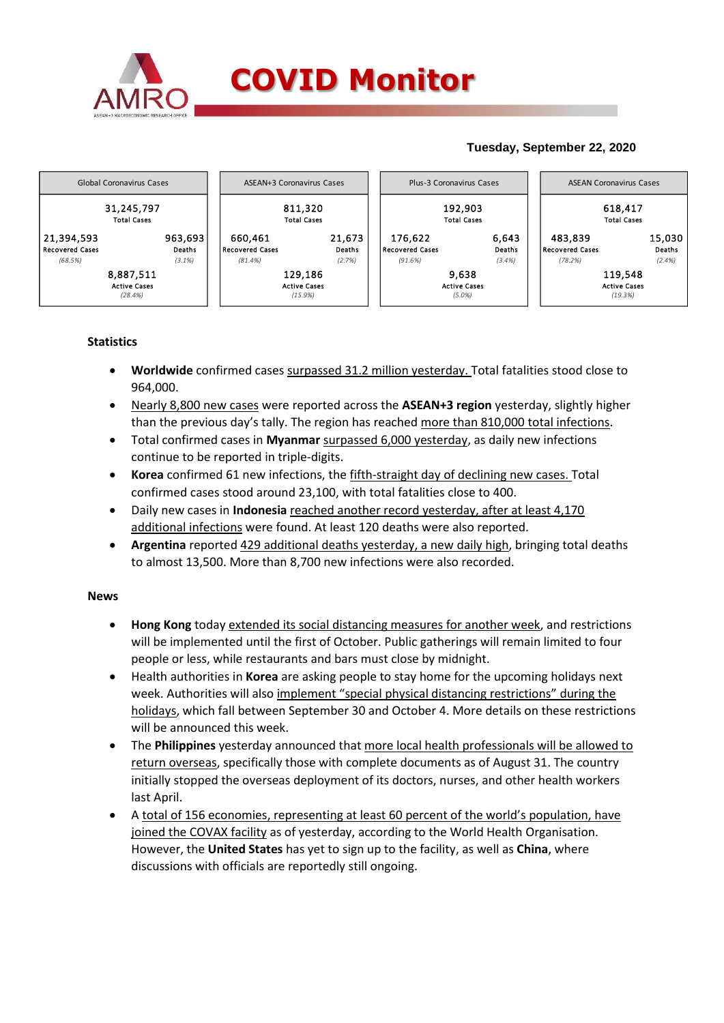

## **Tuesday, September 22, 2020**



### **Statistics**

- **Worldwide** confirmed cases surpassed 31.2 million yesterday. Total fatalities stood close to 964,000.
- Nearly 8,800 new cases were reported across the **ASEAN+3 region** yesterday, slightly higher than the previous day's tally. The region has reached more than 810,000 total infections.
- Total confirmed cases in **Myanmar** surpassed 6,000 yesterday, as daily new infections continue to be reported in triple-digits.
- **Korea** confirmed 61 new infections, the fifth-straight day of declining new cases. Total confirmed cases stood around 23,100, with total fatalities close to 400.
- Daily new cases in **Indonesia** reached another record yesterday, after at least 4,170 additional infections were found. At least 120 deaths were also reported.
- **Argentina** reported 429 additional deaths yesterday, a new daily high, bringing total deaths to almost 13,500. More than 8,700 new infections were also recorded.

#### **News**

- **Hong Kong** today extended its social distancing measures for another week, and restrictions will be implemented until the first of October. Public gatherings will remain limited to four people or less, while restaurants and bars must close by midnight.
- Health authorities in **Korea** are asking people to stay home for the upcoming holidays next week. Authorities will also implement "special physical distancing restrictions" during the holidays, which fall between September 30 and October 4. More details on these restrictions will be announced this week.
- The **Philippines** yesterday announced that more local health professionals will be allowed to return overseas, specifically those with complete documents as of August 31. The country initially stopped the overseas deployment of its doctors, nurses, and other health workers last April.
- A total of 156 economies, representing at least 60 percent of the world's population, have joined the COVAX facility as of yesterday, according to the World Health Organisation. However, the **United States** has yet to sign up to the facility, as well as **China**, where discussions with officials are reportedly still ongoing.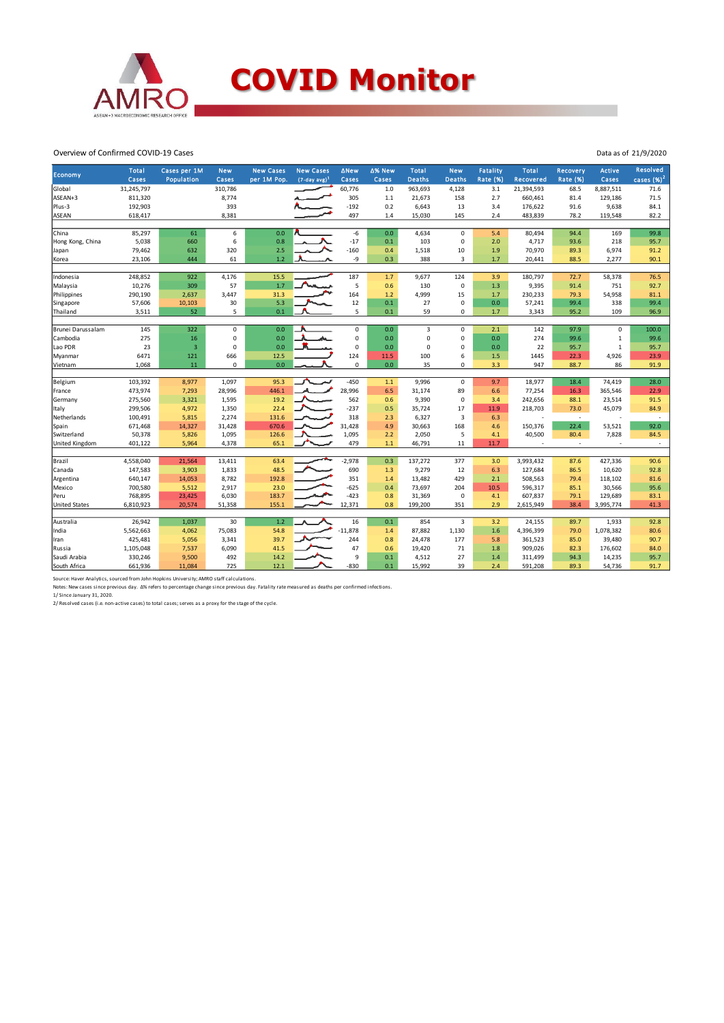

# **COVID Monitor**

Overview of Confirmed COVID-19 Cases

| Economy              | <b>Total</b><br>Cases | Cases per 1M<br>Population | <b>New</b><br>Cases | <b>New Cases</b><br>per 1M Pop. | <b>New Cases</b><br>$(7-day avg)^1$ | <b>ANew</b><br>Cases | ∆% New<br>Cases | <b>Total</b><br><b>Deaths</b> | <b>New</b><br><b>Deaths</b> | <b>Fatality</b><br>Rate (%) | <b>Total</b><br>Recovered | Recovery<br><b>Rate (%)</b> | <b>Active</b><br>Cases | <b>Resolved</b><br>cases $(%)2$ |
|----------------------|-----------------------|----------------------------|---------------------|---------------------------------|-------------------------------------|----------------------|-----------------|-------------------------------|-----------------------------|-----------------------------|---------------------------|-----------------------------|------------------------|---------------------------------|
| Global               | 31,245,797            |                            | 310,786             |                                 |                                     | 60,776               | 1.0             | 963,693                       | 4,128                       | 3.1                         | 21,394,593                | 68.5                        | 8,887,511              | 71.6                            |
| ASEAN+3              | 811,320               |                            | 8,774               |                                 |                                     | 305                  | 1.1             | 21,673                        | 158                         | 2.7                         | 660,461                   | 81.4                        | 129,186                | 71.5                            |
| Plus-3               | 192,903               |                            | 393                 |                                 |                                     | $-192$               | 0.2             | 6,643                         | 13                          | 3.4                         | 176,622                   | 91.6                        | 9,638                  | 84.1                            |
| <b>ASEAN</b>         |                       |                            |                     |                                 |                                     |                      |                 |                               |                             | 2.4                         |                           | 78.2                        |                        |                                 |
|                      | 618,417               |                            | 8,381               |                                 |                                     | 497                  | 1.4             | 15,030                        | 145                         |                             | 483,839                   |                             | 119,548                | 82.2                            |
| China                | 85,297                | 61                         | 6                   | 0.0                             |                                     | $-6$                 | 0.0             | 4,634                         | $\mathbf 0$                 | 5.4                         | 80,494                    | 94.4                        | 169                    | 99.8                            |
| Hong Kong, China     | 5,038                 | 660                        | 6                   | 0.8                             |                                     | $-17$                | 0.1             | 103                           | $\pmb{0}$                   | 2.0                         | 4,717                     | 93.6                        | 218                    | 95.7                            |
| Japan                | 79,462                | 632                        | 320                 | 2.5                             |                                     | $-160$               | 0.4             | 1,518                         | 10                          | 1.9                         | 70,970                    | 89.3                        | 6,974                  | 91.2                            |
| Korea                | 23,106                | 444                        | 61                  | 1.2                             |                                     | -9                   | 0.3             | 388                           | 3                           | $1.7$                       | 20,441                    | 88.5                        | 2,277                  | 90.1                            |
|                      |                       |                            |                     |                                 |                                     |                      |                 |                               |                             |                             |                           |                             |                        |                                 |
| Indonesia            | 248,852               | 922                        | 4,176               | 15.5                            |                                     | 187                  | 1.7             | 9,677                         | 124                         | 3.9                         | 180,797                   | 72.7                        | 58,378                 | 76.5                            |
| Malaysia             | 10,276                | 309                        | 57                  | 1.7                             |                                     | 5                    | 0.6             | 130                           | $\pmb{0}$                   | 1.3                         | 9,395                     | 91.4                        | 751                    | 92.7                            |
| Philippines          | 290,190               | 2,637                      | 3,447               | 31.3                            |                                     | 164                  | 1.2             | 4,999                         | 15                          | 1.7                         | 230,233                   | 79.3                        | 54,958                 | 81.1                            |
| Singapore            | 57,606                | 10,103                     | 30                  | 5.3                             |                                     | 12                   | 0.1             | 27                            | $\pmb{0}$                   | 0.0                         | 57,241                    | 99.4                        | 338                    | 99.4                            |
| Thailand             | 3,511                 | 52                         | 5                   | 0.1                             |                                     | 5                    | 0.1             | 59                            | 0                           | 1.7                         | 3,343                     | 95.2                        | 109                    | 96.9                            |
|                      |                       |                            |                     |                                 |                                     |                      |                 |                               |                             |                             |                           |                             |                        |                                 |
| Brunei Darussalam    | 145                   | 322                        | 0                   | 0.0                             |                                     | 0                    | 0.0             | 3                             | $\mathbf 0$                 | 2.1                         | 142                       | 97.9                        | 0                      | 100.0                           |
| Cambodia             | 275                   | 16                         | 0                   | 0.0                             |                                     | 0                    | 0.0             | $\mathbf 0$                   | $\mathbf 0$                 | 0.0                         | 274                       | 99.6                        | 1                      | 99.6                            |
| Lao PDR              | 23                    | $\overline{3}$             | 0                   | 0.0                             |                                     | 0                    | 0.0             | $\mathbf 0$                   | 0                           | 0.0                         | 22                        | 95.7                        | 1                      | 95.7                            |
| Myanmar              | 6471                  | 121                        | 666                 | 12.5                            |                                     | 124                  | 11.5            | 100                           | 6                           | 1.5                         | 1445                      | 22.3                        | 4,926                  | 23.9                            |
| Vietnam              | 1,068                 | 11                         | 0                   | 0.0                             |                                     | 0                    | 0.0             | 35                            | $\Omega$                    | 3.3                         | 947                       | 88.7                        | 86                     | 91.9                            |
|                      |                       |                            |                     | 95.3                            |                                     |                      |                 |                               |                             |                             |                           |                             |                        |                                 |
| Belgium              | 103,392               | 8,977                      | 1,097               |                                 |                                     | $-450$               | 1.1             | 9,996                         | $\mathsf{O}\xspace$         | 9.7                         | 18,977                    | 18.4                        | 74,419                 | 28.0                            |
| France               | 473,974               | 7,293                      | 28,996              | 446.1                           |                                     | 28,996               | 6.5             | 31,174                        | 89                          | 6.6                         | 77,254                    | 16.3                        | 365,546                | 22.9                            |
| Germany              | 275,560               | 3,321                      | 1,595               | 19.2                            |                                     | 562                  | 0.6             | 9,390                         | $\pmb{0}$                   | 3.4                         | 242,656                   | 88.1                        | 23,514                 | 91.5                            |
| Italy                | 299,506               | 4,972                      | 1,350               | 22.4                            |                                     | $-237$               | 0.5             | 35,724                        | 17                          | 11.9                        | 218,703                   | 73.0                        | 45,079                 | 84.9                            |
| Netherlands          | 100,491               | 5,815                      | 2,274               | 131.6                           |                                     | 318                  | 2.3             | 6,327                         | 3                           | 6.3                         | J.                        | $\sim$                      |                        | $\sim$                          |
| Spain                | 671,468               | 14,327                     | 31,428              | 670.6                           |                                     | 31,428               | 4.9             | 30,663                        | 168                         | 4.6                         | 150,376                   | 22.4                        | 53,521                 | 92.0                            |
| Switzerland          | 50,378                | 5,826                      | 1,095               | 126.6                           |                                     | 1,095                | 2.2             | 2,050                         | 5                           | 4.1                         | 40,500                    | 80.4                        | 7,828                  | 84.5                            |
| United Kingdom       | 401,122               | 5,964                      | 4,378               | 65.1                            |                                     | 479                  | 1.1             | 46,791                        | 11                          | 11.7                        |                           | $\overline{\phantom{a}}$    |                        | $\sim$                          |
| Brazil               | 4,558,040             | 21,564                     | 13,411              | 63.4                            |                                     | $-2,978$             | 0.3             | 137,272                       | 377                         | 3.0                         | 3,993,432                 | 87.6                        | 427,336                | 90.6                            |
| Canada               | 147,583               | 3,903                      | 1,833               | 48.5                            |                                     | 690                  | 1.3             | 9,279                         | 12                          | 6.3                         | 127,684                   | 86.5                        | 10,620                 | 92.8                            |
| Argentina            | 640,147               | 14,053                     | 8,782               | 192.8                           |                                     | 351                  | 1.4             | 13,482                        | 429                         | 2.1                         | 508,563                   | 79.4                        | 118,102                | 81.6                            |
| Mexico               | 700,580               | 5,512                      | 2,917               | 23.0                            |                                     | $-625$               | 0.4             | 73,697                        | 204                         | 10.5                        | 596,317                   | 85.1                        | 30,566                 | 95.6                            |
| Peru                 | 768,895               | 23,425                     | 6,030               | 183.7                           |                                     | $-423$               | 0.8             | 31,369                        | $\pmb{0}$                   | 4.1                         | 607,837                   | 79.1                        | 129,689                | 83.1                            |
| <b>United States</b> | 6,810,923             | 20,574                     | 51,358              | 155.1                           |                                     | 12,371               | 0.8             | 199,200                       | 351                         | 2.9                         | 2,615,949                 | 38.4                        | 3,995,774              | 41.3                            |
|                      |                       |                            |                     |                                 |                                     |                      |                 |                               |                             |                             |                           |                             |                        |                                 |
| Australia            | 26,942                | 1,037                      | 30                  | 1.2                             |                                     | 16                   | 0.1             | 854                           | $\overline{\mathbf{3}}$     | 3.2                         | 24,155                    | 89.7                        | 1,933                  | 92.8                            |
| India                | 5,562,663             | 4,062                      | 75,083              | 54.8                            |                                     | $-11,878$            | 1.4             | 87,882                        | 1,130                       | 1.6                         | 4,396,399                 | 79.0                        | 1,078,382              | 80.6                            |
| Iran                 | 425,481               | 5,056                      | 3,341               | 39.7                            |                                     | 244                  | 0.8             | 24,478                        | 177                         | 5.8                         | 361,523                   | 85.0                        | 39,480                 | 90.7                            |
| Russia               | 1,105,048             | 7,537                      | 6,090               | 41.5                            |                                     | 47                   | 0.6             | 19,420                        | 71                          | 1.8                         | 909,026                   | 82.3                        | 176,602                | 84.0                            |
| Saudi Arabia         | 330,246               | 9,500                      | 492                 | 14.2                            |                                     | 9                    | 0.1             | 4,512                         | 27                          | 1.4                         | 311,499                   | 94.3                        | 14,235                 | 95.7                            |
| South Africa         | 661,936               | 11,084                     | 725                 | 12.1                            |                                     | -830                 | 0.1             | 15,992                        | 39                          | 2.4                         | 591,208                   | 89.3                        | 54,736                 | 91.7                            |
|                      |                       |                            |                     |                                 |                                     |                      |                 |                               |                             |                             |                           |                             |                        |                                 |

Source: Haver Analytics, sourced from John Hopkins University; AMRO staff calculations.<br>Notes: New cases since previous day. Δ% refers to percentage change since previous day. Fatality rate measured as deaths per confirmed

1/ Since January 31, 2020. 2/ Resolved cases (i.e. non-active cases) to total cases; serves as a proxy for the stage of the cycle.

Data as of 21/9/2020